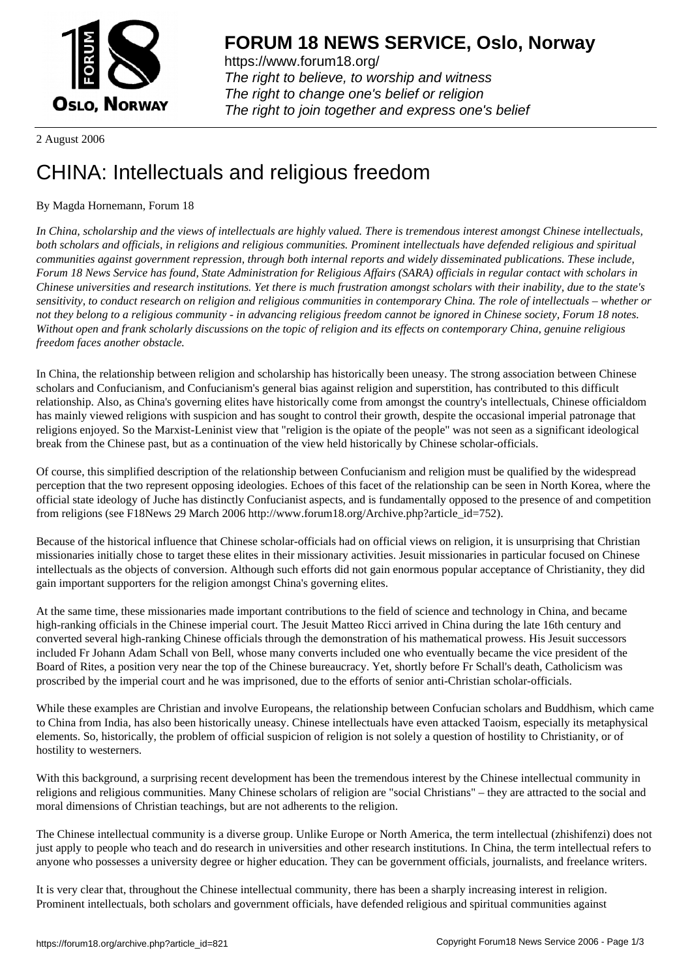

https://www.forum18.org/ The right to believe, to worship and witness The right to change one's belief or religion [The right to join together a](https://www.forum18.org/)nd express one's belief

2 August 2006

## [CHINA: Intellec](https://www.forum18.org)tuals and religious freedom

## By Magda Hornemann, Forum 18

*In China, scholarship and the views of intellectuals are highly valued. There is tremendous interest amongst Chinese intellectuals, both scholars and officials, in religions and religious communities. Prominent intellectuals have defended religious and spiritual communities against government repression, through both internal reports and widely disseminated publications. These include, Forum 18 News Service has found, State Administration for Religious Affairs (SARA) officials in regular contact with scholars in Chinese universities and research institutions. Yet there is much frustration amongst scholars with their inability, due to the state's sensitivity, to conduct research on religion and religious communities in contemporary China. The role of intellectuals – whether or not they belong to a religious community - in advancing religious freedom cannot be ignored in Chinese society, Forum 18 notes. Without open and frank scholarly discussions on the topic of religion and its effects on contemporary China, genuine religious freedom faces another obstacle.*

In China, the relationship between religion and scholarship has historically been uneasy. The strong association between Chinese scholars and Confucianism, and Confucianism's general bias against religion and superstition, has contributed to this difficult relationship. Also, as China's governing elites have historically come from amongst the country's intellectuals, Chinese officialdom has mainly viewed religions with suspicion and has sought to control their growth, despite the occasional imperial patronage that religions enjoyed. So the Marxist-Leninist view that "religion is the opiate of the people" was not seen as a significant ideological break from the Chinese past, but as a continuation of the view held historically by Chinese scholar-officials.

Of course, this simplified description of the relationship between Confucianism and religion must be qualified by the widespread perception that the two represent opposing ideologies. Echoes of this facet of the relationship can be seen in North Korea, where the official state ideology of Juche has distinctly Confucianist aspects, and is fundamentally opposed to the presence of and competition from religions (see F18News 29 March 2006 http://www.forum18.org/Archive.php?article\_id=752).

Because of the historical influence that Chinese scholar-officials had on official views on religion, it is unsurprising that Christian missionaries initially chose to target these elites in their missionary activities. Jesuit missionaries in particular focused on Chinese intellectuals as the objects of conversion. Although such efforts did not gain enormous popular acceptance of Christianity, they did gain important supporters for the religion amongst China's governing elites.

At the same time, these missionaries made important contributions to the field of science and technology in China, and became high-ranking officials in the Chinese imperial court. The Jesuit Matteo Ricci arrived in China during the late 16th century and converted several high-ranking Chinese officials through the demonstration of his mathematical prowess. His Jesuit successors included Fr Johann Adam Schall von Bell, whose many converts included one who eventually became the vice president of the Board of Rites, a position very near the top of the Chinese bureaucracy. Yet, shortly before Fr Schall's death, Catholicism was proscribed by the imperial court and he was imprisoned, due to the efforts of senior anti-Christian scholar-officials.

While these examples are Christian and involve Europeans, the relationship between Confucian scholars and Buddhism, which came to China from India, has also been historically uneasy. Chinese intellectuals have even attacked Taoism, especially its metaphysical elements. So, historically, the problem of official suspicion of religion is not solely a question of hostility to Christianity, or of hostility to westerners.

With this background, a surprising recent development has been the tremendous interest by the Chinese intellectual community in religions and religious communities. Many Chinese scholars of religion are "social Christians" – they are attracted to the social and moral dimensions of Christian teachings, but are not adherents to the religion.

The Chinese intellectual community is a diverse group. Unlike Europe or North America, the term intellectual (zhishifenzi) does not just apply to people who teach and do research in universities and other research institutions. In China, the term intellectual refers to anyone who possesses a university degree or higher education. They can be government officials, journalists, and freelance writers.

It is very clear that, throughout the Chinese intellectual community, there has been a sharply increasing interest in religion. Prominent intellectuals, both scholars and government officials, have defended religious and spiritual communities against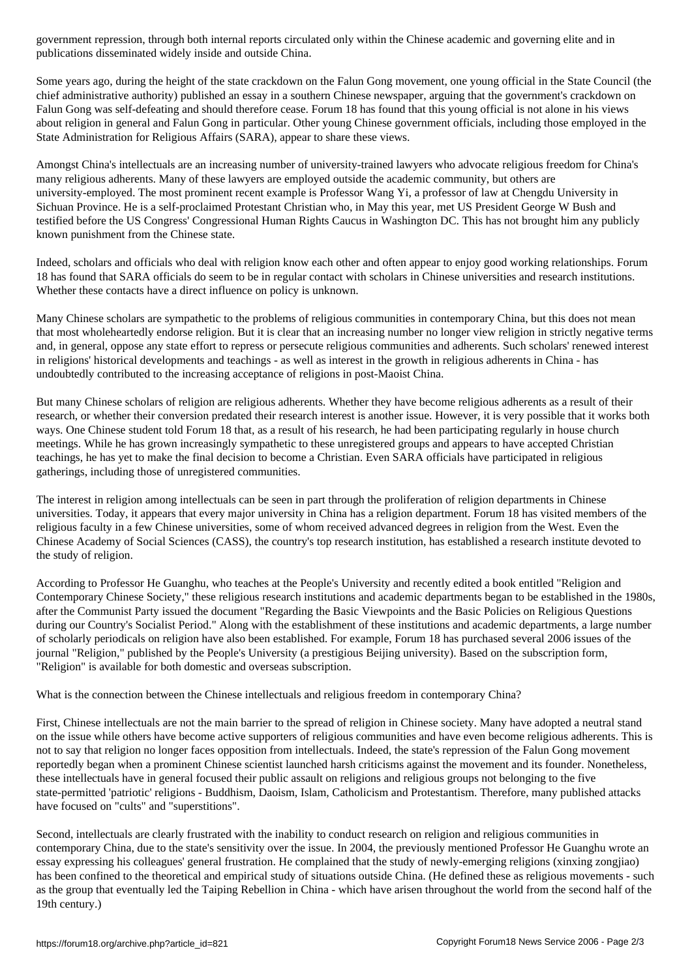publications disseminated widely inside and outside China. Some years ago, during the height of the state crackdown on the Falun Gong movement, one young official in the State Council (the chief administrative authority) published an essay in a southern Chinese newspaper, arguing that the government's crackdown on Falun Gong was self-defeating and should therefore cease. Forum 18 has found that this young official is not alone in his views about religion in general and Falun Gong in particular. Other young Chinese government officials, including those employed in the State Administration for Religious Affairs (SARA), appear to share these views.

Amongst China's intellectuals are an increasing number of university-trained lawyers who advocate religious freedom for China's many religious adherents. Many of these lawyers are employed outside the academic community, but others are university-employed. The most prominent recent example is Professor Wang Yi, a professor of law at Chengdu University in Sichuan Province. He is a self-proclaimed Protestant Christian who, in May this year, met US President George W Bush and testified before the US Congress' Congressional Human Rights Caucus in Washington DC. This has not brought him any publicly known punishment from the Chinese state.

Indeed, scholars and officials who deal with religion know each other and often appear to enjoy good working relationships. Forum 18 has found that SARA officials do seem to be in regular contact with scholars in Chinese universities and research institutions. Whether these contacts have a direct influence on policy is unknown.

Many Chinese scholars are sympathetic to the problems of religious communities in contemporary China, but this does not mean that most wholeheartedly endorse religion. But it is clear that an increasing number no longer view religion in strictly negative terms and, in general, oppose any state effort to repress or persecute religious communities and adherents. Such scholars' renewed interest in religions' historical developments and teachings - as well as interest in the growth in religious adherents in China - has undoubtedly contributed to the increasing acceptance of religions in post-Maoist China.

But many Chinese scholars of religion are religious adherents. Whether they have become religious adherents as a result of their research, or whether their conversion predated their research interest is another issue. However, it is very possible that it works both ways. One Chinese student told Forum 18 that, as a result of his research, he had been participating regularly in house church meetings. While he has grown increasingly sympathetic to these unregistered groups and appears to have accepted Christian teachings, he has yet to make the final decision to become a Christian. Even SARA officials have participated in religious gatherings, including those of unregistered communities.

The interest in religion among intellectuals can be seen in part through the proliferation of religion departments in Chinese universities. Today, it appears that every major university in China has a religion department. Forum 18 has visited members of the religious faculty in a few Chinese universities, some of whom received advanced degrees in religion from the West. Even the Chinese Academy of Social Sciences (CASS), the country's top research institution, has established a research institute devoted to the study of religion.

According to Professor He Guanghu, who teaches at the People's University and recently edited a book entitled "Religion and Contemporary Chinese Society," these religious research institutions and academic departments began to be established in the 1980s, after the Communist Party issued the document "Regarding the Basic Viewpoints and the Basic Policies on Religious Questions during our Country's Socialist Period." Along with the establishment of these institutions and academic departments, a large number of scholarly periodicals on religion have also been established. For example, Forum 18 has purchased several 2006 issues of the journal "Religion," published by the People's University (a prestigious Beijing university). Based on the subscription form, "Religion" is available for both domestic and overseas subscription.

What is the connection between the Chinese intellectuals and religious freedom in contemporary China?

First, Chinese intellectuals are not the main barrier to the spread of religion in Chinese society. Many have adopted a neutral stand on the issue while others have become active supporters of religious communities and have even become religious adherents. This is not to say that religion no longer faces opposition from intellectuals. Indeed, the state's repression of the Falun Gong movement reportedly began when a prominent Chinese scientist launched harsh criticisms against the movement and its founder. Nonetheless, these intellectuals have in general focused their public assault on religions and religious groups not belonging to the five state-permitted 'patriotic' religions - Buddhism, Daoism, Islam, Catholicism and Protestantism. Therefore, many published attacks have focused on "cults" and "superstitions".

Second, intellectuals are clearly frustrated with the inability to conduct research on religion and religious communities in contemporary China, due to the state's sensitivity over the issue. In 2004, the previously mentioned Professor He Guanghu wrote an essay expressing his colleagues' general frustration. He complained that the study of newly-emerging religions (xinxing zongjiao) has been confined to the theoretical and empirical study of situations outside China. (He defined these as religious movements - such as the group that eventually led the Taiping Rebellion in China - which have arisen throughout the world from the second half of the 19th century.)